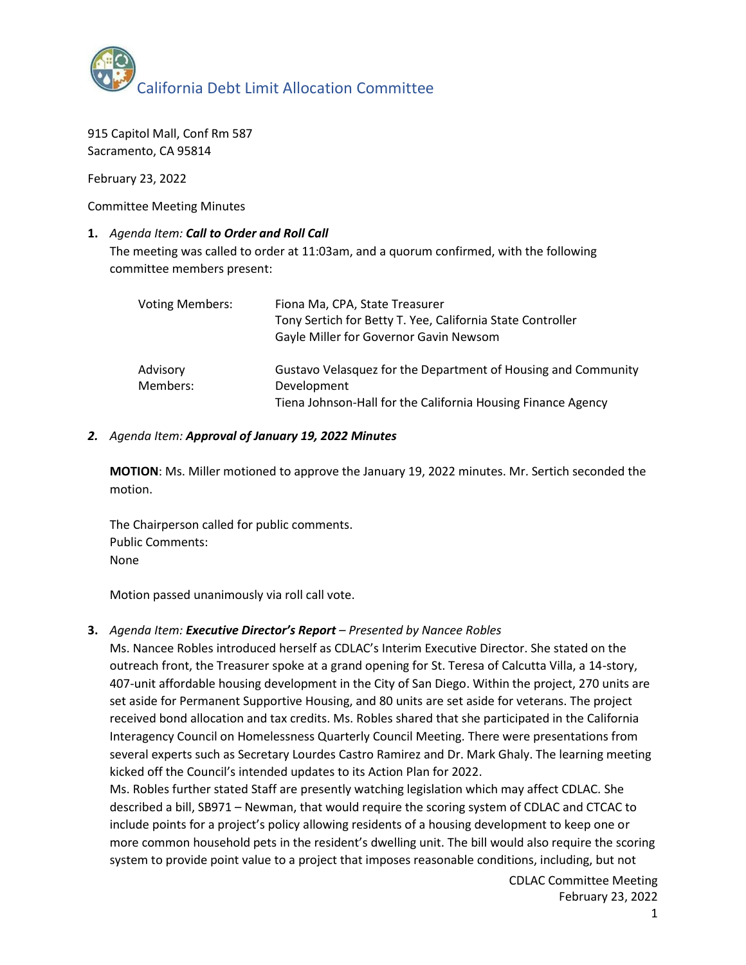

915 Capitol Mall, Conf Rm 587 Sacramento, CA 95814

February 23, 2022

Committee Meeting Minutes

### **1.** *Agenda Item: Call to Order and Roll Call*

The meeting was called to order at 11:03am, and a quorum confirmed, with the following committee members present:

| <b>Voting Members:</b> | Fiona Ma, CPA, State Treasurer<br>Tony Sertich for Betty T. Yee, California State Controller<br>Gayle Miller for Governor Gavin Newsom       |
|------------------------|----------------------------------------------------------------------------------------------------------------------------------------------|
| Advisory<br>Members:   | Gustavo Velasquez for the Department of Housing and Community<br>Development<br>Tiena Johnson-Hall for the California Housing Finance Agency |

#### *2. Agenda Item: Approval of January 19, 2022 Minutes*

**MOTION**: Ms. Miller motioned to approve the January 19, 2022 minutes. Mr. Sertich seconded the motion.

The Chairperson called for public comments. Public Comments: None

Motion passed unanimously via roll call vote.

### **3.** *Agenda Item: Executive Director's Report – Presented by Nancee Robles*

Ms. Nancee Robles introduced herself as CDLAC's Interim Executive Director. She stated on the outreach front, the Treasurer spoke at a grand opening for St. Teresa of Calcutta Villa, a 14-story, 407-unit affordable housing development in the City of San Diego. Within the project, 270 units are set aside for Permanent Supportive Housing, and 80 units are set aside for veterans. The project received bond allocation and tax credits. Ms. Robles shared that she participated in the California Interagency Council on Homelessness Quarterly Council Meeting. There were presentations from several experts such as Secretary Lourdes Castro Ramirez and Dr. Mark Ghaly. The learning meeting kicked off the Council's intended updates to its Action Plan for 2022.

Ms. Robles further stated Staff are presently watching legislation which may affect CDLAC. She described a bill, SB971 – Newman, that would require the scoring system of CDLAC and CTCAC to include points for a project's policy allowing residents of a housing development to keep one or more common household pets in the resident's dwelling unit. The bill would also require the scoring system to provide point value to a project that imposes reasonable conditions, including, but not

> CDLAC Committee Meeting February 23, 2022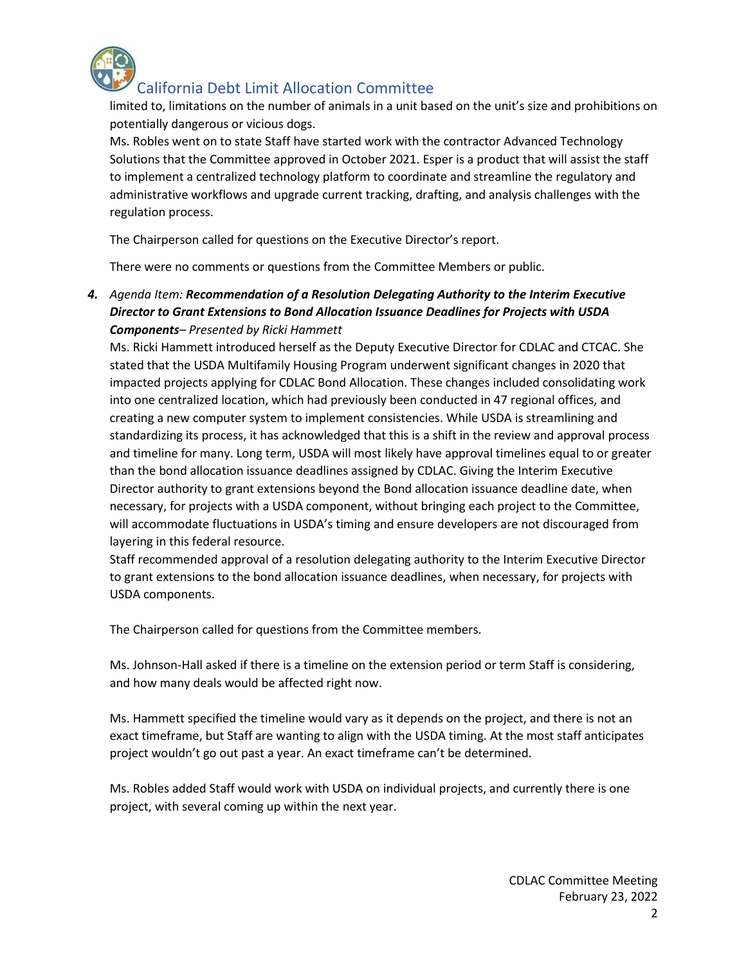

## California Debt Limit Allocation Committee

limited to, limitations on the number of animals in a unit based on the unit's size and prohibitions on potentially dangerous or vicious dogs.

Ms. Robles went on to state Staff have started work with the contractor Advanced Technology Solutions that the Committee approved in October 2021. Esper is a product that will assist the staff to implement a centralized technology platform to coordinate and streamline the regulatory and administrative workflows and upgrade current tracking, drafting, and analysis challenges with the regulation process.

The Chairperson called for questions on the Executive Director's report.

There were no comments or questions from the Committee Members or public.

*4. Agenda Item: Recommendation of a Resolution Delegating Authority to the Interim Executive Director to Grant Extensions to Bond Allocation Issuance Deadlines for Projects with USDA Components– Presented by Ricki Hammett*

Ms. Ricki Hammett introduced herself as the Deputy Executive Director for CDLAC and CTCAC. She stated that the USDA Multifamily Housing Program underwent significant changes in 2020 that impacted projects applying for CDLAC Bond Allocation. These changes included consolidating work into one centralized location, which had previously been conducted in 47 regional offices, and creating a new computer system to implement consistencies. While USDA is streamlining and standardizing its process, it has acknowledged that this is a shift in the review and approval process and timeline for many. Long term, USDA will most likely have approval timelines equal to or greater than the bond allocation issuance deadlines assigned by CDLAC. Giving the Interim Executive Director authority to grant extensions beyond the Bond allocation issuance deadline date, when necessary, for projects with a USDA component, without bringing each project to the Committee, will accommodate fluctuations in USDA's timing and ensure developers are not discouraged from layering in this federal resource.

Staff recommended approval of a resolution delegating authority to the Interim Executive Director to grant extensions to the bond allocation issuance deadlines, when necessary, for projects with USDA components.

The Chairperson called for questions from the Committee members.

Ms. Johnson-Hall asked if there is a timeline on the extension period or term Staff is considering, and how many deals would be affected right now.

Ms. Hammett specified the timeline would vary as it depends on the project, and there is not an exact timeframe, but Staff are wanting to align with the USDA timing. At the most staff anticipates project wouldn't go out past a year. An exact timeframe can't be determined.

Ms. Robles added Staff would work with USDA on individual projects, and currently there is one project, with several coming up within the next year.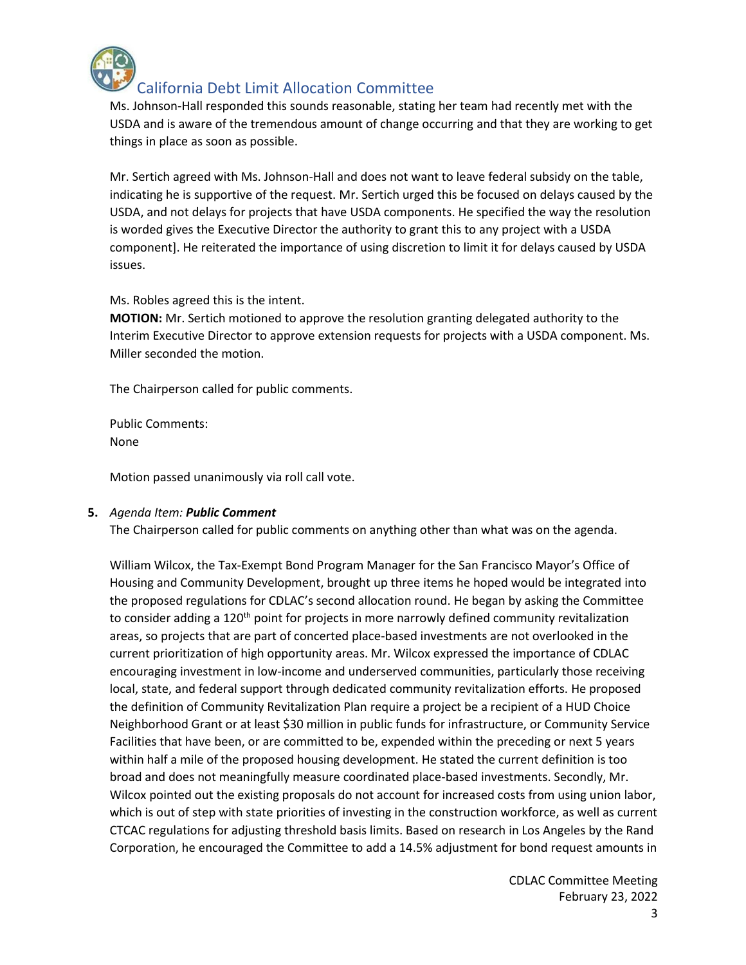

# California Debt Limit Allocation Committee

Ms. Johnson-Hall responded this sounds reasonable, stating her team had recently met with the USDA and is aware of the tremendous amount of change occurring and that they are working to get things in place as soon as possible.

Mr. Sertich agreed with Ms. Johnson-Hall and does not want to leave federal subsidy on the table, indicating he is supportive of the request. Mr. Sertich urged this be focused on delays caused by the USDA, and not delays for projects that have USDA components. He specified the way the resolution is worded gives the Executive Director the authority to grant this to any project with a USDA component]. He reiterated the importance of using discretion to limit it for delays caused by USDA issues.

Ms. Robles agreed this is the intent.

**MOTION:** Mr. Sertich motioned to approve the resolution granting delegated authority to the Interim Executive Director to approve extension requests for projects with a USDA component. Ms. Miller seconded the motion.

The Chairperson called for public comments.

Public Comments: None

Motion passed unanimously via roll call vote.

### **5.** *Agenda Item: Public Comment*

The Chairperson called for public comments on anything other than what was on the agenda.

William Wilcox, the Tax-Exempt Bond Program Manager for the San Francisco Mayor's Office of Housing and Community Development, brought up three items he hoped would be integrated into the proposed regulations for CDLAC's second allocation round. He began by asking the Committee to consider adding a 120<sup>th</sup> point for projects in more narrowly defined community revitalization areas, so projects that are part of concerted place-based investments are not overlooked in the current prioritization of high opportunity areas. Mr. Wilcox expressed the importance of CDLAC encouraging investment in low-income and underserved communities, particularly those receiving local, state, and federal support through dedicated community revitalization efforts. He proposed the definition of Community Revitalization Plan require a project be a recipient of a HUD Choice Neighborhood Grant or at least \$30 million in public funds for infrastructure, or Community Service Facilities that have been, or are committed to be, expended within the preceding or next 5 years within half a mile of the proposed housing development. He stated the current definition is too broad and does not meaningfully measure coordinated place-based investments. Secondly, Mr. Wilcox pointed out the existing proposals do not account for increased costs from using union labor, which is out of step with state priorities of investing in the construction workforce, as well as current CTCAC regulations for adjusting threshold basis limits. Based on research in Los Angeles by the Rand Corporation, he encouraged the Committee to add a 14.5% adjustment for bond request amounts in